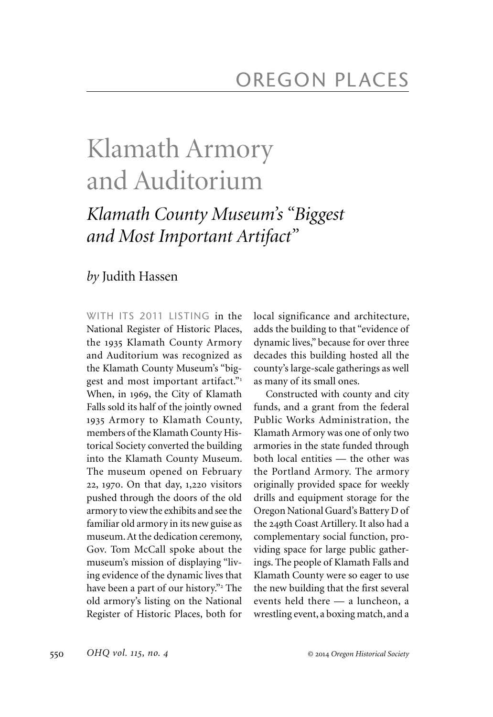## Klamath Armory and Auditorium

## *Klamath County Museum's "Biggest and Most Important Artifact"*

## *by* Judith Hassen

WITH ITS 2011 LISTING in the National Register of Historic Places, the 1935 Klamath County Armory and Auditorium was recognized as the Klamath County Museum's "biggest and most important artifact."<sup>1</sup> When, in 1969, the City of Klamath Falls sold its half of the jointly owned 1935 Armory to Klamath County, members of the Klamath County Historical Society converted the building into the Klamath County Museum. The museum opened on February 22, 1970. On that day, 1,220 visitors pushed through the doors of the old armory to view the exhibits and see the familiar old armory in its new guise as museum. At the dedication ceremony, Gov. Tom McCall spoke about the museum's mission of displaying "living evidence of the dynamic lives that have been a part of our history."<sup>2</sup> The old armory's listing on the National Register of Historic Places, both for

local significance and architecture, adds the building to that "evidence of dynamic lives," because for over three decades this building hosted all the county's large-scale gatherings as well as many of its small ones.

Constructed with county and city funds, and a grant from the federal Public Works Administration, the Klamath Armory was one of only two armories in the state funded through both local entities — the other was the Portland Armory. The armory originally provided space for weekly drills and equipment storage for the Oregon National Guard's Battery D of the 249th Coast Artillery. It also had a complementary social function, providing space for large public gatherings. The people of Klamath Falls and Klamath County were so eager to use the new building that the first several events held there — a luncheon, a wrestling event, a boxing match, and a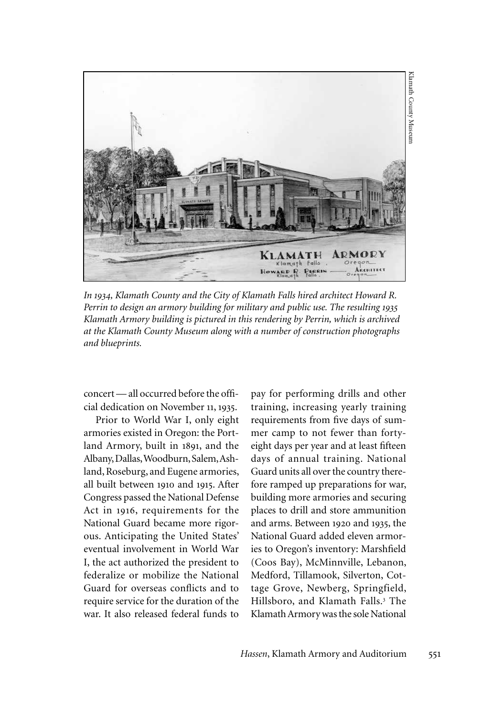

*In 1934, Klamath County and the City of Klamath Falls hired architect Howard R. Perrin to design an armory building for military and public use. The resulting 1935 Klamath Armory building is pictured in this rendering by Perrin, which is archived at the Klamath County Museum along with a number of construction photographs and blueprints.* 

concert — all occurred before the official dedication on November 11, 1935.

Prior to World War I, only eight armories existed in Oregon: the Portland Armory, built in 1891, and the Albany, Dallas, Woodburn, Salem, Ashland, Roseburg, and Eugene armories, all built between 1910 and 1915. After Congress passed the National Defense Act in 1916, requirements for the National Guard became more rigorous. Anticipating the United States' eventual involvement in World War I, the act authorized the president to federalize or mobilize the National Guard for overseas conflicts and to require service for the duration of the war. It also released federal funds to

pay for performing drills and other training, increasing yearly training requirements from five days of summer camp to not fewer than fortyeight days per year and at least fifteen days of annual training. National Guard units all over the country therefore ramped up preparations for war, building more armories and securing places to drill and store ammunition and arms. Between 1920 and 1935, the National Guard added eleven armories to Oregon's inventory: Marshfield (Coos Bay), McMinnville, Lebanon, Medford, Tillamook, Silverton, Cottage Grove, Newberg, Springfield, Hillsboro, and Klamath Falls.<sup>3</sup> The Klamath Armory was the sole National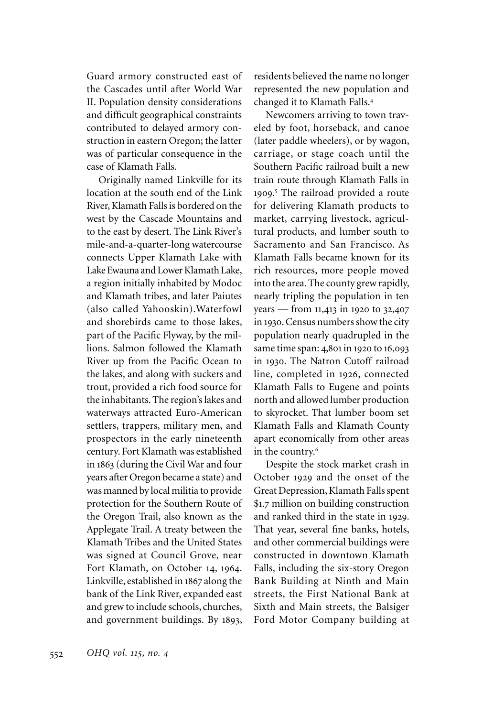Guard armory constructed east of the Cascades until after World War II. Population density considerations and difficult geographical constraints contributed to delayed armory construction in eastern Oregon; the latter was of particular consequence in the case of Klamath Falls.

Originally named Linkville for its location at the south end of the Link River, Klamath Falls is bordered on the west by the Cascade Mountains and to the east by desert. The Link River's mile-and-a-quarter-long watercourse connects Upper Klamath Lake with Lake Ewauna and Lower Klamath Lake, a region initially inhabited by Modoc and Klamath tribes, and later Paiutes (also called Yahooskin).Waterfowl and shorebirds came to those lakes, part of the Pacific Flyway, by the millions. Salmon followed the Klamath River up from the Pacific Ocean to the lakes, and along with suckers and trout, provided a rich food source for the inhabitants. The region's lakes and waterways attracted Euro-American settlers, trappers, military men, and prospectors in the early nineteenth century. Fort Klamath was established in 1863 (during the Civil War and four years after Oregon became a state) and was manned by local militia to provide protection for the Southern Route of the Oregon Trail, also known as the Applegate Trail. A treaty between the Klamath Tribes and the United States was signed at Council Grove, near Fort Klamath, on October 14, 1964. Linkville, established in 1867 along the bank of the Link River, expanded east and grew to include schools, churches, and government buildings. By 1893, residents believed the name no longer represented the new population and changed it to Klamath Falls.<sup>4</sup>

Newcomers arriving to town traveled by foot, horseback, and canoe (later paddle wheelers), or by wagon, carriage, or stage coach until the Southern Pacific railroad built a new train route through Klamath Falls in 1909. The railroad provided a route 5 for delivering Klamath products to market, carrying livestock, agricultural products, and lumber south to Sacramento and San Francisco. As Klamath Falls became known for its rich resources, more people moved into the area. The county grew rapidly, nearly tripling the population in ten years — from 11,413 in 1920 to 32,407 in 1930. Census numbers show the city population nearly quadrupled in the same time span: 4,801 in 1920 to 16,093 in 1930. The Natron Cutoff railroad line, completed in 1926, connected Klamath Falls to Eugene and points north and allowed lumber production to skyrocket. That lumber boom set Klamath Falls and Klamath County apart economically from other areas in the country.<sup>6</sup>

Despite the stock market crash in October 1929 and the onset of the Great Depression, Klamath Falls spent \$1.7 million on building construction and ranked third in the state in 1929. That year, several fine banks, hotels, and other commercial buildings were constructed in downtown Klamath Falls, including the six-story Oregon Bank Building at Ninth and Main streets, the First National Bank at Sixth and Main streets, the Balsiger Ford Motor Company building at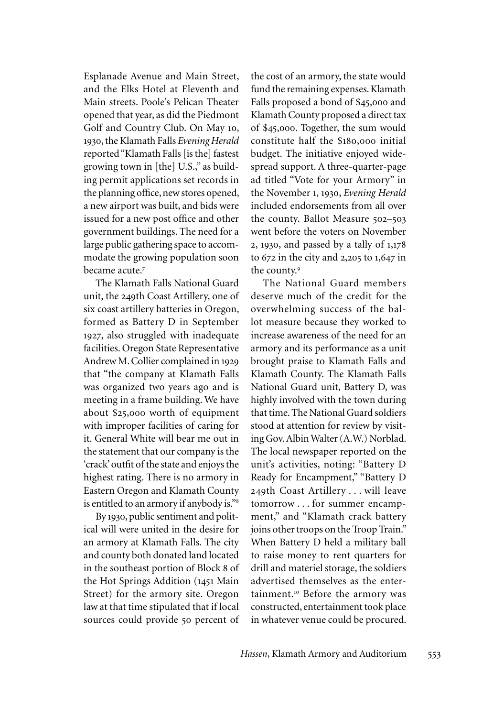Esplanade Avenue and Main Street, and the Elks Hotel at Eleventh and Main streets. Poole's Pelican Theater opened that year, as did the Piedmont Golf and Country Club. On May 10, 1930, the Klamath Falls *Evening Herald* reported "Klamath Falls [is the] fastest growing town in [the] U.S.," as building permit applications set records in the planning office, new stores opened, a new airport was built, and bids were issued for a new post office and other government buildings. The need for a large public gathering space to accommodate the growing population soon became acute.<sup>7</sup>

The Klamath Falls National Guard unit, the 249th Coast Artillery, one of six coast artillery batteries in Oregon, formed as Battery D in September 1927, also struggled with inadequate facilities. Oregon State Representative Andrew M. Collier complained in 1929 that "the company at Klamath Falls was organized two years ago and is meeting in a frame building. We have about \$25,000 worth of equipment with improper facilities of caring for it. General White will bear me out in the statement that our company is the 'crack' outfit of the state and enjoys the highest rating. There is no armory in Eastern Oregon and Klamath County is entitled to an armory if anybody is."<sup>8</sup>

By 1930, public sentiment and political will were united in the desire for an armory at Klamath Falls. The city and county both donated land located in the southeast portion of Block 8 of the Hot Springs Addition (1451 Main Street) for the armory site. Oregon law at that time stipulated that if local sources could provide 50 percent of the cost of an armory, the state would fund the remaining expenses. Klamath Falls proposed a bond of \$45,000 and Klamath County proposed a direct tax of \$45,000. Together, the sum would constitute half the \$180,000 initial budget. The initiative enjoyed widespread support. A three-quarter-page ad titled "Vote for your Armory" in the November 1, 1930, *Evening Herald* included endorsements from all over the county. Ballot Measure 502–503 went before the voters on November 2, 1930, and passed by a tally of 1,178 to 672 in the city and 2,205 to 1,647 in the county.<sup>9</sup>

The National Guard members deserve much of the credit for the overwhelming success of the ballot measure because they worked to increase awareness of the need for an armory and its performance as a unit brought praise to Klamath Falls and Klamath County. The Klamath Falls National Guard unit, Battery D, was highly involved with the town during that time. The National Guard soldiers stood at attention for review by visiting Gov. Albin Walter (A.W.) Norblad. The local newspaper reported on the unit's activities, noting: "Battery D Ready for Encampment," "Battery D 249th Coast Artillery . . . will leave tomorrow . . . for summer encampment," and "Klamath crack battery joins other troops on the Troop Train." When Battery D held a military ball to raise money to rent quarters for drill and materiel storage, the soldiers advertised themselves as the entertainment.<sup>10</sup> Before the armory was constructed, entertainment took place in whatever venue could be procured.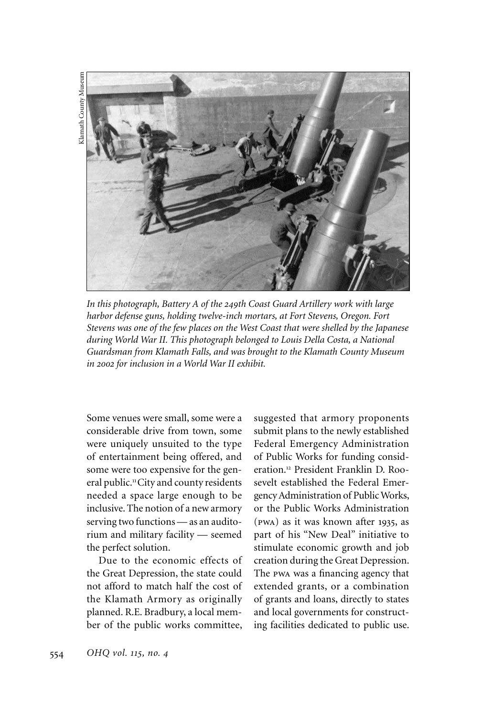

*In this photograph, Battery A of the 249th Coast Guard Artillery work with large harbor defense guns, holding twelve-inch mortars, at Fort Stevens, Oregon. Fort Stevens was one of the few places on the West Coast that were shelled by the Japanese during World War II. This photograph belonged to Louis Della Costa, a National Guardsman from Klamath Falls, and was brought to the Klamath County Museum in 2002 for inclusion in a World War II exhibit.*

Some venues were small, some were a considerable drive from town, some were uniquely unsuited to the type of entertainment being offered, and some were too expensive for the general public.<sup>11</sup>City and county residents needed a space large enough to be inclusive. The notion of a new armory serving two functions — as an auditorium and military facility — seemed the perfect solution.

Due to the economic effects of the Great Depression, the state could not afford to match half the cost of the Klamath Armory as originally planned. R.E. Bradbury, a local member of the public works committee, suggested that armory proponents submit plans to the newly established Federal Emergency Administration of Public Works for funding consideration.12 President Franklin D. Roosevelt established the Federal Emergency Administration of Public Works, or the Public Works Administration (pwa) as it was known after 1935, as part of his "New Deal" initiative to stimulate economic growth and job creation during the Great Depression. The pwa was a financing agency that extended grants, or a combination of grants and loans, directly to states and local governments for constructing facilities dedicated to public use.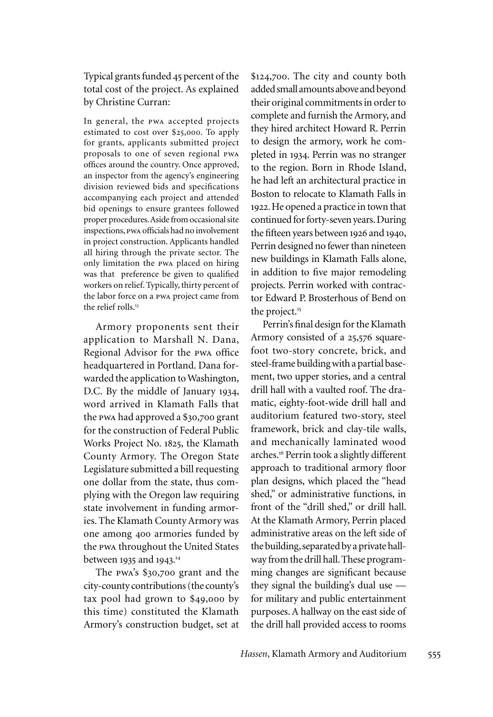Typical grants funded 45 percent of the total cost of the project. As explained by Christine Curran:

In general, the pwa accepted projects estimated to cost over \$25,000. To apply for grants, applicants submitted project proposals to one of seven regional pwa offices around the country. Once approved, an inspector from the agency's engineering division reviewed bids and specifications accompanying each project and attended bid openings to ensure grantees followed proper procedures. Aside from occasional site inspections, pwa officials had no involvement in project construction. Applicants handled all hiring through the private sector. The only limitation the pwa placed on hiring was that preference be given to qualified workers on relief. Typically, thirty percent of the labor force on a pwa project came from the relief rolls.<sup>13</sup>

Armory proponents sent their application to Marshall N. Dana, Regional Advisor for the pwa office headquartered in Portland. Dana forwarded the application to Washington, D.C. By the middle of January 1934, word arrived in Klamath Falls that the pwa had approved a \$30,700 grant for the construction of Federal Public Works Project No. 1825, the Klamath County Armory. The Oregon State Legislature submitted a bill requesting one dollar from the state, thus complying with the Oregon law requiring state involvement in funding armories. The Klamath County Armory was one among 400 armories funded by the pwa throughout the United States between 1935 and 1943. 14

The pwa's \$30,700 grant and the city-county contributions (the county's tax pool had grown to \$49,000 by this time) constituted the Klamath Armory's construction budget, set at \$124,700. The city and county both added small amounts above and beyond their original commitments in order to complete and furnish the Armory, and they hired architect Howard R. Perrin to design the armory, work he completed in 1934. Perrin was no stranger to the region. Born in Rhode Island, he had left an architectural practice in Boston to relocate to Klamath Falls in 1922. He opened a practice in town that continued for forty-seven years. During the fifteen years between 1926 and 1940, Perrin designed no fewer than nineteen new buildings in Klamath Falls alone, in addition to five major remodeling projects. Perrin worked with contractor Edward P. Brosterhous of Bend on the project.<sup>15</sup>

Perrin's final design for the Klamath Armory consisted of a 25,576 squarefoot two-story concrete, brick, and steel-frame building with a partial basement, two upper stories, and a central drill hall with a vaulted roof. The dramatic, eighty-foot-wide drill hall and auditorium featured two-story, steel framework, brick and clay-tile walls, and mechanically laminated wood arches.<sup>16</sup> Perrin took a slightly different approach to traditional armory floor plan designs, which placed the "head shed," or administrative functions, in front of the "drill shed," or drill hall. At the Klamath Armory, Perrin placed administrative areas on the left side of the building, separated by a private hallway from the drill hall. These programming changes are significant because they signal the building's dual use for military and public entertainment purposes. A hallway on the east side of the drill hall provided access to rooms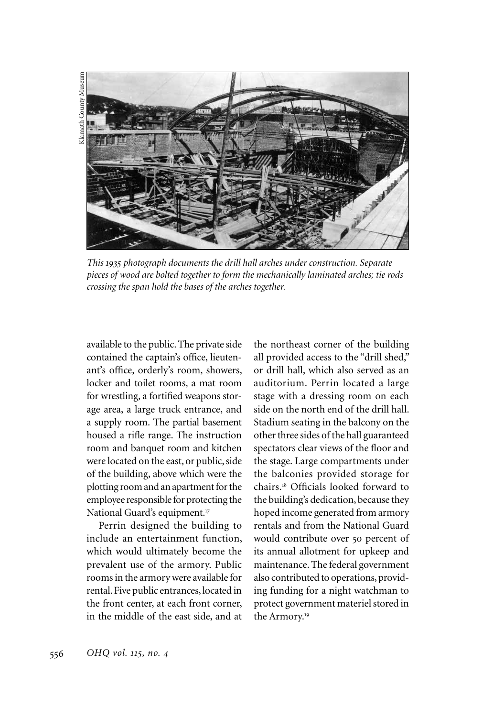

*This 1935 photograph documents the drill hall arches under construction. Separate pieces of wood are bolted together to form the mechanically laminated arches; tie rods crossing the span hold the bases of the arches together.* 

available to the public. The private side contained the captain's office, lieutenant's office, orderly's room, showers, locker and toilet rooms, a mat room for wrestling, a fortified weapons storage area, a large truck entrance, and a supply room. The partial basement housed a rifle range. The instruction room and banquet room and kitchen were located on the east, or public, side of the building, above which were the plotting room and an apartment for the employee responsible for protecting the National Guard's equipment.<sup>17</sup>

Perrin designed the building to include an entertainment function, which would ultimately become the prevalent use of the armory. Public rooms in the armory were available for rental. Five public entrances, located in the front center, at each front corner, in the middle of the east side, and at the northeast corner of the building all provided access to the "drill shed," or drill hall, which also served as an auditorium. Perrin located a large stage with a dressing room on each side on the north end of the drill hall. Stadium seating in the balcony on the other three sides of the hall guaranteed spectators clear views of the floor and the stage. Large compartments under the balconies provided storage for chairs.<sup>18</sup> Officials looked forward to the building's dedication, because they hoped income generated from armory rentals and from the National Guard would contribute over 50 percent of its annual allotment for upkeep and maintenance. The federal government also contributed to operations, providing funding for a night watchman to protect government materiel stored in the Armory.<sup>19</sup>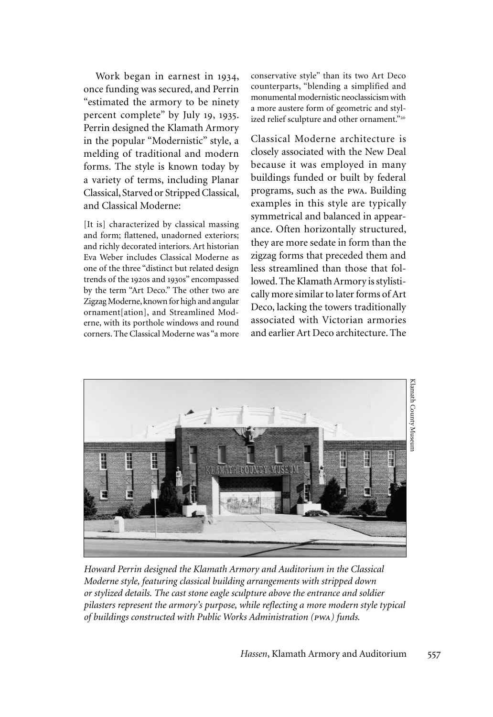Work began in earnest in 1934, once funding was secured, and Perrin "estimated the armory to be ninety percent complete" by July 19, 1935. Perrin designed the Klamath Armory in the popular "Modernistic" style, a melding of traditional and modern forms. The style is known today by a variety of terms, including Planar Classical, Starved or Stripped Classical, and Classical Moderne:

[It is] characterized by classical massing and form; flattened, unadorned exteriors; and richly decorated interiors. Art historian Eva Weber includes Classical Moderne as one of the three "distinct but related design trends of the 1920s and 1930s" encompassed by the term "Art Deco." The other two are Zigzag Moderne, known for high and angular ornament[ation], and Streamlined Moderne, with its porthole windows and round corners. The Classical Moderne was "a more

conservative style" than its two Art Deco counterparts, "blending a simplified and monumental modernistic neoclassicism with a more austere form of geometric and stylized relief sculpture and other ornament."<sup>20</sup>

Classical Moderne architecture is closely associated with the New Deal because it was employed in many buildings funded or built by federal programs, such as the pwa. Building examples in this style are typically symmetrical and balanced in appearance. Often horizontally structured, they are more sedate in form than the zigzag forms that preceded them and less streamlined than those that followed. The Klamath Armory is stylistically more similar to later forms of Art Deco, lacking the towers traditionally associated with Victorian armories and earlier Art Deco architecture. The



*Howard Perrin designed the Klamath Armory and Auditorium in the Classical Moderne style, featuring classical building arrangements with stripped down or stylized details. The cast stone eagle sculpture above the entrance and soldier pilasters represent the armory's purpose, while reflecting a more modern style typical of buildings constructed with Public Works Administration (pwa) funds.*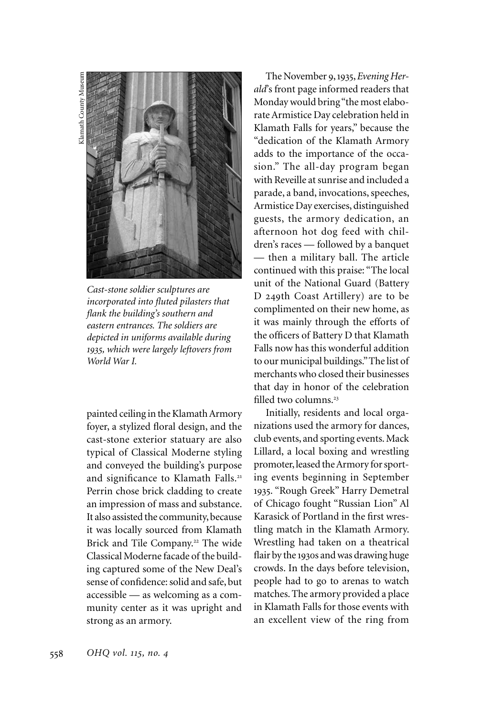

*Cast-stone soldier sculptures are incorporated into fluted pilasters that flank the building's southern and eastern entrances. The soldiers are depicted in uniforms available during 1935, which were largely leftovers from World War I.* 

painted ceiling in the Klamath Armory foyer, a stylized floral design, and the cast-stone exterior statuary are also typical of Classical Moderne styling and conveyed the building's purpose and significance to Klamath Falls.<sup>21</sup> Perrin chose brick cladding to create an impression of mass and substance. It also assisted the community, because it was locally sourced from Klamath Brick and Tile Company.<sup>22</sup> The wide Classical Moderne facade of the building captured some of the New Deal's sense of confidence: solid and safe, but accessible — as welcoming as a community center as it was upright and strong as an armory.

The November 9, 1935, *Evening Herald*'s front page informed readers that Monday would bring "the most elaborate Armistice Day celebration held in Klamath Falls for years," because the "dedication of the Klamath Armory adds to the importance of the occasion." The all-day program began with Reveille at sunrise and included a parade, a band, invocations, speeches, Armistice Day exercises, distinguished guests, the armory dedication, an afternoon hot dog feed with children's races — followed by a banquet — then a military ball. The article continued with this praise: "The local unit of the National Guard (Battery D 249th Coast Artillery) are to be complimented on their new home, as it was mainly through the efforts of the officers of Battery D that Klamath Falls now has this wonderful addition to our municipal buildings." The list of merchants who closed their businesses that day in honor of the celebration filled two columns.<sup>23</sup>

Initially, residents and local organizations used the armory for dances, club events, and sporting events. Mack Lillard, a local boxing and wrestling promoter, leased the Armory for sporting events beginning in September 1935. "Rough Greek" Harry Demetral of Chicago fought "Russian Lion" Al Karasick of Portland in the first wrestling match in the Klamath Armory. Wrestling had taken on a theatrical flair by the 1930s and was drawing huge crowds. In the days before television, people had to go to arenas to watch matches. The armory provided a place in Klamath Falls for those events with an excellent view of the ring from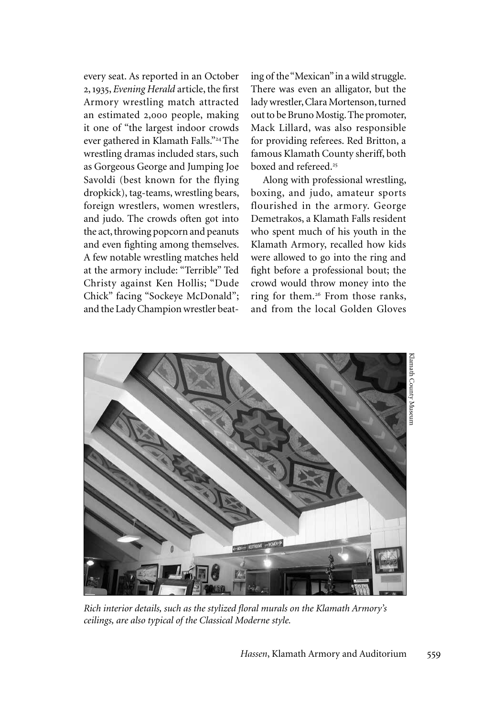every seat. As reported in an October 2, 1935, *Evening Herald* article, the first Armory wrestling match attracted an estimated 2,000 people, making it one of "the largest indoor crowds ever gathered in Klamath Falls."<sup>24</sup>The wrestling dramas included stars, such as Gorgeous George and Jumping Joe Savoldi (best known for the flying dropkick), tag-teams, wrestling bears, foreign wrestlers, women wrestlers, and judo. The crowds often got into the act, throwing popcorn and peanuts and even fighting among themselves. A few notable wrestling matches held at the armory include: "Terrible" Ted Christy against Ken Hollis; "Dude Chick" facing "Sockeye McDonald"; and the Lady Champion wrestler beating of the "Mexican" in a wild struggle. There was even an alligator, but the lady wrestler, Clara Mortenson, turned out to be Bruno Mostig. The promoter, Mack Lillard, was also responsible for providing referees. Red Britton, a famous Klamath County sheriff, both boxed and refereed.<sup>25</sup>

Along with professional wrestling, boxing, and judo, amateur sports flourished in the armory. George Demetrakos, a Klamath Falls resident who spent much of his youth in the Klamath Armory, recalled how kids were allowed to go into the ring and fight before a professional bout; the crowd would throw money into the ring for them.<sup>26</sup> From those ranks, and from the local Golden Gloves



*Rich interior details, such as the stylized floral murals on the Klamath Armory's ceilings, are also typical of the Classical Moderne style.*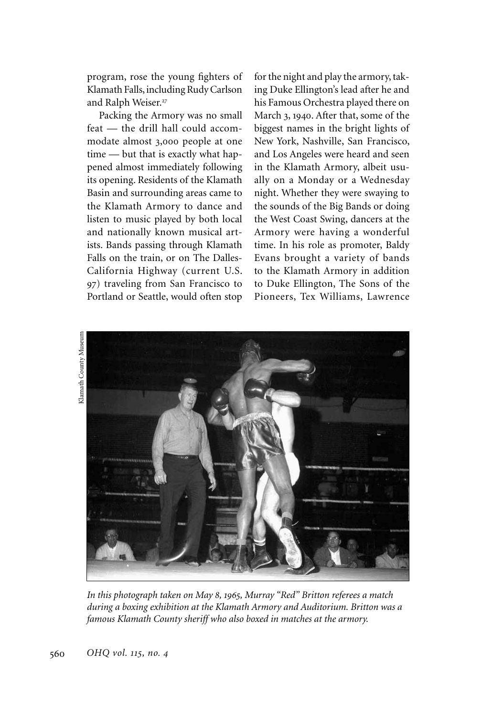program, rose the young fighters of Klamath Falls, including Rudy Carlson and Ralph Weiser.<sup>27</sup>

Packing the Armory was no small feat — the drill hall could accommodate almost 3,000 people at one time — but that is exactly what happened almost immediately following its opening. Residents of the Klamath Basin and surrounding areas came to the Klamath Armory to dance and listen to music played by both local and nationally known musical artists. Bands passing through Klamath Falls on the train, or on The Dalles-California Highway (current U.S. 97) traveling from San Francisco to Portland or Seattle, would often stop for the night and play the armory, taking Duke Ellington's lead after he and his Famous Orchestra played there on March 3, 1940. After that, some of the biggest names in the bright lights of New York, Nashville, San Francisco, and Los Angeles were heard and seen in the Klamath Armory, albeit usually on a Monday or a Wednesday night. Whether they were swaying to the sounds of the Big Bands or doing the West Coast Swing, dancers at the Armory were having a wonderful time. In his role as promoter, Baldy Evans brought a variety of bands to the Klamath Armory in addition to Duke Ellington, The Sons of the Pioneers, Tex Williams, Lawrence



*In this photograph taken on May 8, 1965, Murray "Red" Britton referees a match during a boxing exhibition at the Klamath Armory and Auditorium. Britton was a famous Klamath County sheriff who also boxed in matches at the armory.*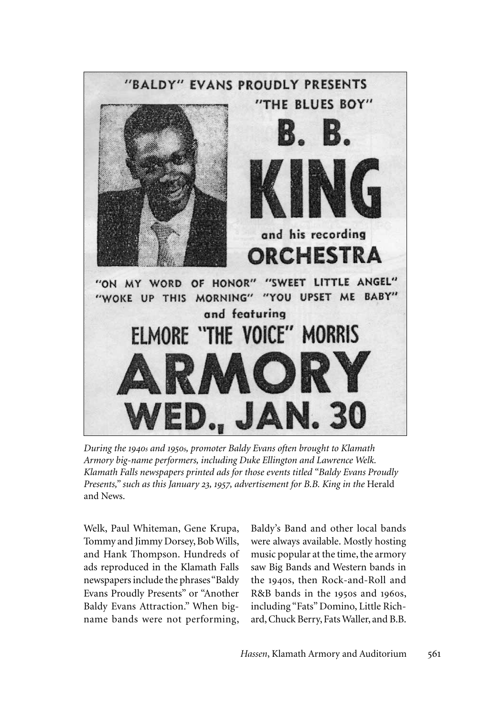

*During the 1940s and 1950s, promoter Baldy Evans often brought to Klamath Armory big-name performers, including Duke Ellington and Lawrence Welk. Klamath Falls newspapers printed ads for those events titled "Baldy Evans Proudly Presents," such as this January 23, 1957, advertisement for B.B. King in the* Herald and News.

Welk, Paul Whiteman, Gene Krupa, Tommy and Jimmy Dorsey, Bob Wills, and Hank Thompson. Hundreds of ads reproduced in the Klamath Falls newspapers include the phrases "Baldy Evans Proudly Presents" or "Another Baldy Evans Attraction." When bigname bands were not performing, Baldy's Band and other local bands were always available. Mostly hosting music popular at the time, the armory saw Big Bands and Western bands in the 1940s, then Rock-and-Roll and R&B bands in the 1950s and 1960s, including "Fats" Domino, Little Richard, Chuck Berry, Fats Waller, and B.B.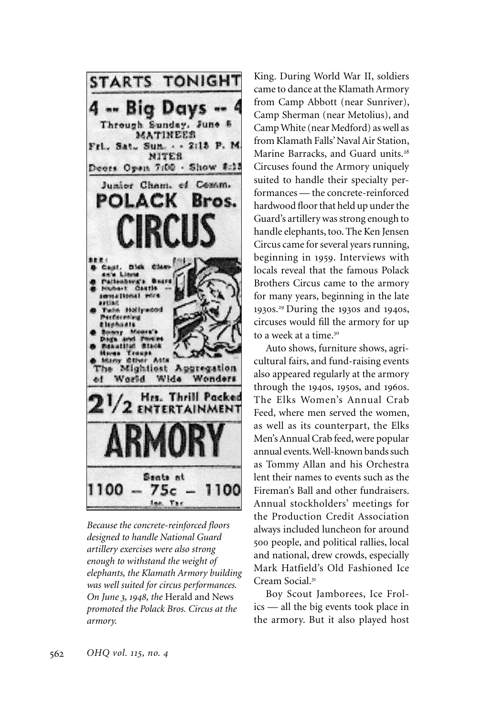

*Because the concrete-reinforced floors designed to handle National Guard artillery exercises were also strong enough to withstand the weight of elephants, the Klamath Armory building was well suited for circus performances. On June 3, 1948, the* Herald and News *promoted the Polack Bros. Circus at the armory.* 

King. During World War II, soldiers came to dance at the Klamath Armory from Camp Abbott (near Sunriver), Camp Sherman (near Metolius), and Camp White (near Medford) as well as from Klamath Falls' Naval Air Station, Marine Barracks, and Guard units.<sup>28</sup> Circuses found the Armory uniquely suited to handle their specialty performances — the concrete-reinforced hardwood floor that held up under the Guard's artillery was strong enough to handle elephants, too. The Ken Jensen Circus came for several years running, beginning in 1959. Interviews with locals reveal that the famous Polack Brothers Circus came to the armory for many years, beginning in the late 1930s.<sup>29</sup> During the 1930s and 1940s, circuses would fill the armory for up to a week at a time.<sup>30</sup>

Auto shows, furniture shows, agricultural fairs, and fund-raising events also appeared regularly at the armory through the 1940s, 1950s, and 1960s. The Elks Women's Annual Crab Feed, where men served the women, as well as its counterpart, the Elks Men's Annual Crab feed, were popular annual events. Well-known bands such as Tommy Allan and his Orchestra lent their names to events such as the Fireman's Ball and other fundraisers. Annual stockholders' meetings for the Production Credit Association always included luncheon for around 500 people, and political rallies, local and national, drew crowds, especially Mark Hatfield's Old Fashioned Ice Cream Social.<sup>31</sup>

Boy Scout Jamborees, Ice Frolics — all the big events took place in the armory. But it also played host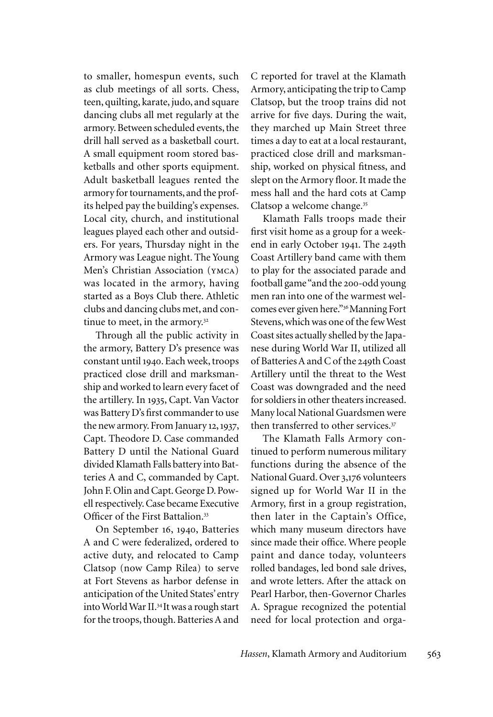to smaller, homespun events, such as club meetings of all sorts. Chess, teen, quilting, karate, judo, and square dancing clubs all met regularly at the armory. Between scheduled events, the drill hall served as a basketball court. A small equipment room stored basketballs and other sports equipment. Adult basketball leagues rented the armory for tournaments, and the profits helped pay the building's expenses. Local city, church, and institutional leagues played each other and outsiders. For years, Thursday night in the Armory was League night. The Young Men's Christian Association (ymca) was located in the armory, having started as a Boys Club there. Athletic clubs and dancing clubs met, and continue to meet, in the armory.<sup>32</sup>

Through all the public activity in the armory, Battery D's presence was constant until 1940. Each week, troops practiced close drill and marksmanship and worked to learn every facet of the artillery. In 1935, Capt. Van Vactor was Battery D's first commander to use the new armory. From January 12, 1937, Capt. Theodore D. Case commanded Battery D until the National Guard divided Klamath Falls battery into Batteries A and C, commanded by Capt. John F. Olin and Capt. George D. Powell respectively. Case became Executive Officer of the First Battalion.<sup>33</sup>

On September 16, 1940, Batteries A and C were federalized, ordered to active duty, and relocated to Camp Clatsop (now Camp Rilea) to serve at Fort Stevens as harbor defense in anticipation of the United States' entry into World War II.<sup>34</sup> It was a rough start for the troops, though. Batteries A and

C reported for travel at the Klamath Armory, anticipating the trip to Camp Clatsop, but the troop trains did not arrive for five days. During the wait, they marched up Main Street three times a day to eat at a local restaurant, practiced close drill and marksmanship, worked on physical fitness, and slept on the Armory floor. It made the mess hall and the hard cots at Camp Clatsop a welcome change.<sup>35</sup>

Klamath Falls troops made their first visit home as a group for a weekend in early October 1941. The 249th Coast Artillery band came with them to play for the associated parade and football game "and the 200-odd young men ran into one of the warmest welcomes ever given here."<sup>36</sup>Manning Fort Stevens, which was one of the few West Coast sites actually shelled by the Japanese during World War II, utilized all of Batteries A and C of the 249th Coast Artillery until the threat to the West Coast was downgraded and the need for soldiers in other theaters increased. Many local National Guardsmen were then transferred to other services.<sup>37</sup>

The Klamath Falls Armory continued to perform numerous military functions during the absence of the National Guard. Over 3,176 volunteers signed up for World War II in the Armory, first in a group registration, then later in the Captain's Office, which many museum directors have since made their office. Where people paint and dance today, volunteers rolled bandages, led bond sale drives, and wrote letters. After the attack on Pearl Harbor, then-Governor Charles A. Sprague recognized the potential need for local protection and orga-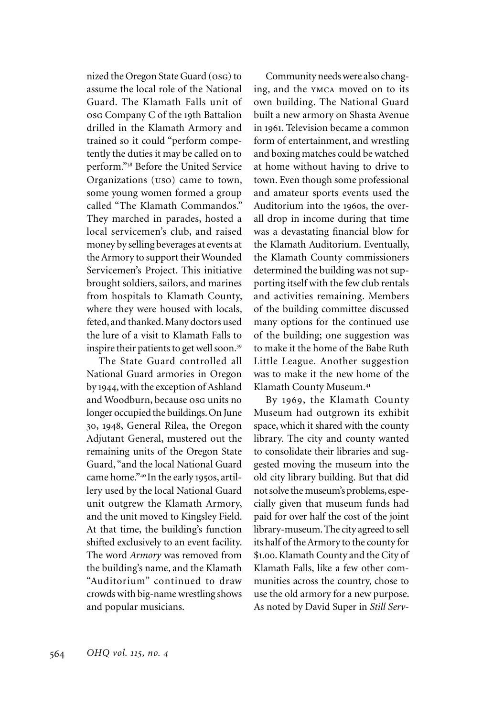nized the Oregon State Guard (osg) to assume the local role of the National Guard. The Klamath Falls unit of osg Company C of the 19th Battalion drilled in the Klamath Armory and trained so it could "perform competently the duties it may be called on to perform."<sup>38</sup> Before the United Service Organizations (uso) came to town, some young women formed a group called "The Klamath Commandos." They marched in parades, hosted a local servicemen's club, and raised money by selling beverages at events at the Armory to support their Wounded Servicemen's Project. This initiative brought soldiers, sailors, and marines from hospitals to Klamath County, where they were housed with locals, feted, and thanked. Many doctors used the lure of a visit to Klamath Falls to inspire their patients to get well soon.<sup>39</sup>

The State Guard controlled all National Guard armories in Oregon by 1944, with the exception of Ashland and Woodburn, because osg units no longer occupied the buildings. On June 30, 1948, General Rilea, the Oregon Adjutant General, mustered out the remaining units of the Oregon State Guard, "and the local National Guard came home."<sup>40</sup> In the early 1950s, artillery used by the local National Guard unit outgrew the Klamath Armory, and the unit moved to Kingsley Field. At that time, the building's function shifted exclusively to an event facility. The word *Armory* was removed from the building's name, and the Klamath "Auditorium" continued to draw crowds with big-name wrestling shows and popular musicians.

Community needs were also changing, and the ymca moved on to its own building. The National Guard built a new armory on Shasta Avenue in 1961. Television became a common form of entertainment, and wrestling and boxing matches could be watched at home without having to drive to town. Even though some professional and amateur sports events used the Auditorium into the 1960s, the overall drop in income during that time was a devastating financial blow for the Klamath Auditorium. Eventually, the Klamath County commissioners determined the building was not supporting itself with the few club rentals and activities remaining. Members of the building committee discussed many options for the continued use of the building; one suggestion was to make it the home of the Babe Ruth Little League. Another suggestion was to make it the new home of the Klamath County Museum.<sup>41</sup>

By 1969, the Klamath County Museum had outgrown its exhibit space, which it shared with the county library. The city and county wanted to consolidate their libraries and suggested moving the museum into the old city library building. But that did not solve the museum's problems, especially given that museum funds had paid for over half the cost of the joint library-museum. The city agreed to sell its half of the Armory to the county for \$1.00. Klamath County and the City of Klamath Falls, like a few other communities across the country, chose to use the old armory for a new purpose. As noted by David Super in *Still Serv-*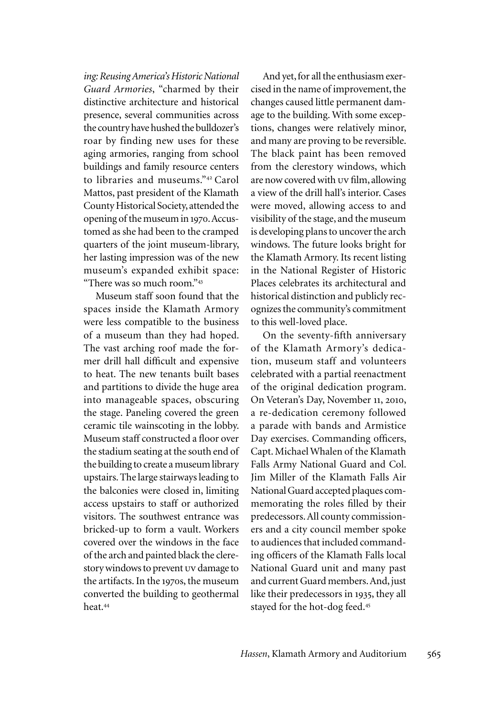*ing: Reusing America's Historic National Guard Armories*, "charmed by their distinctive architecture and historical presence, several communities across the country have hushed the bulldozer's roar by finding new uses for these aging armories, ranging from school buildings and family resource centers to libraries and museums."<sup>42</sup> Carol Mattos, past president of the Klamath County Historical Society, attended the opening of the museum in 1970. Accustomed as she had been to the cramped quarters of the joint museum-library, her lasting impression was of the new museum's expanded exhibit space: "There was so much room."<sup>43</sup>

Museum staff soon found that the spaces inside the Klamath Armory were less compatible to the business of a museum than they had hoped. The vast arching roof made the former drill hall difficult and expensive to heat. The new tenants built bases and partitions to divide the huge area into manageable spaces, obscuring the stage. Paneling covered the green ceramic tile wainscoting in the lobby. Museum staff constructed a floor over the stadium seating at the south end of the building to create a museum library upstairs. The large stairways leading to the balconies were closed in, limiting access upstairs to staff or authorized visitors. The southwest entrance was bricked-up to form a vault. Workers covered over the windows in the face of the arch and painted black the clerestory windows to prevent uv damage to the artifacts. In the 1970s, the museum converted the building to geothermal heat.<sup>44</sup>

And yet, for all the enthusiasm exercised in the name of improvement, the changes caused little permanent damage to the building. With some exceptions, changes were relatively minor, and many are proving to be reversible. The black paint has been removed from the clerestory windows, which are now covered with uv film, allowing a view of the drill hall's interior. Cases were moved, allowing access to and visibility of the stage, and the museum is developing plans to uncover the arch windows. The future looks bright for the Klamath Armory. Its recent listing in the National Register of Historic Places celebrates its architectural and historical distinction and publicly recognizes the community's commitment to this well-loved place.

On the seventy-fifth anniversary of the Klamath Armory's dedication, museum staff and volunteers celebrated with a partial reenactment of the original dedication program. On Veteran's Day, November 11, 2010, a re-dedication ceremony followed a parade with bands and Armistice Day exercises. Commanding officers, Capt. Michael Whalen of the Klamath Falls Army National Guard and Col. Jim Miller of the Klamath Falls Air National Guard accepted plaques commemorating the roles filled by their predecessors. All county commissioners and a city council member spoke to audiences that included commanding officers of the Klamath Falls local National Guard unit and many past and current Guard members. And, just like their predecessors in 1935, they all stayed for the hot-dog feed.45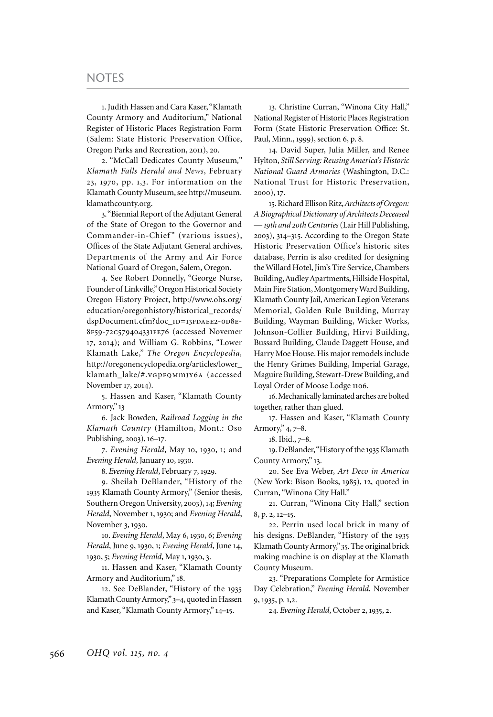1. Judith Hassen and Cara Kaser, "Klamath County Armory and Auditorium," National Register of Historic Places Registration Form (Salem: State Historic Preservation Office, Oregon Parks and Recreation, 2011), 20.

2. "McCall Dedicates County Museum*," Klamath Falls Herald and News*, February 23, 1970, pp. 1,3. For information on the Klamath County Museum, see http://museum. klamathcounty.org.

3. "Biennial Report of the Adjutant General of the State of Oregon to the Governor and Commander-in-Chief" (various issues), Offices of the State Adjutant General archives, Departments of the Army and Air Force National Guard of Oregon, Salem, Oregon.

4. See Robert Donnelly, "George Nurse, Founder of Linkville," Oregon Historical Society Oregon History Project, http://www.ohs.org/ education/oregonhistory/historical\_records/ dspDocument.cfm?doc\_ID=13FDAEE2-0D8E-8f59-72c579404331fe76 (accessed Novemer 17, 2014); and William G. Robbins, "Lower Klamath Lake," *The Oregon Encyclopedia,*  http://oregonencyclopedia.org/articles/lower\_ klamath\_lake/#.vGpFQMmJY6A (accessed November 17, 2014).

5. Hassen and Kaser, "Klamath County Armory," 13

6. Jack Bowden, *Railroad Logging in the Klamath Country* (Hamilton, Mont.: Oso Publishing, 2003), 16–17.

7. *Evening Herald*, May 10, 1930, 1; and *Evening Herald*, January 10, 1930.

8. *Evening Herald*, February 7, 1929.

9. Sheilah DeBlander, "History of the 1935 Klamath County Armory," (Senior thesis, Southern Oregon University, 2003), 14; *Evening Herald*, November 1, 1930; and *Evening Herald*, November 3, 1930.

10. *Evening Herald*, May 6, 1930, 6; *Evening Herald*, June 9, 1930, 1; *Evening Herald*, June 14, 1930, 5; *Evening Herald*, May 1, 1930, 3.

11. Hassen and Kaser, "Klamath County Armory and Auditorium," 18.

12. See DeBlander, "History of the 1935 Klamath County Armory," 3–4, quoted in Hassen and Kaser, "Klamath County Armory," 14–15.

13. Christine Curran, "Winona City Hall," National Register of Historic Places Registration Form (State Historic Preservation Office: St. Paul, Minn., 1999), section 6, p. 8.

14. David Super, Julia Miller, and Renee Hylton, *Still Serving: Reusing America's Historic National Guard Armories* (Washington, D.C.: National Trust for Historic Preservation, 2000), 17.

15. Richard Ellison Ritz, *Architects of Oregon: A Biographical Dictionary of Architects Deceased — 19th and 20th Centuries* (Lair Hill Publishing, 2003), 314–315. According to the Oregon State Historic Preservation Office's historic sites database, Perrin is also credited for designing the Willard Hotel, Jim's Tire Service, Chambers Building, Audley Apartments, Hillside Hospital, Main Fire Station, Montgomery Ward Building, Klamath County Jail, American Legion Veterans Memorial, Golden Rule Building, Murray Building, Wayman Building, Wicker Works, Johnson-Collier Building, Hirvi Building, Bussard Building, Claude Daggett House, and Harry Moe House. His major remodels include the Henry Grimes Building, Imperial Garage, Maguire Building, Stewart-Drew Building, and Loyal Order of Moose Lodge 1106.

16. Mechanically laminated arches are bolted together, rather than glued.

17. Hassen and Kaser, "Klamath County Armory," 4, 7–8.

18. Ibid., 7–8.

19. DeBlander, "History of the 1935 Klamath County Armory," 13.

20. See Eva Weber, *Art Deco in America* (New York: Bison Books, 1985), 12, quoted in Curran, "Winona City Hall."

21. Curran, "Winona City Hall," section 8, p. 2, 12–15.

22. Perrin used local brick in many of his designs. DeBlander, "History of the 1935 Klamath County Armory," 35. The original brick making machine is on display at the Klamath County Museum.

23. "Preparations Complete for Armistice Day Celebration," *Evening Herald*, November 9, 1935, p. 1,2.

24. *Evening Herald*, October 2, 1935, 2.